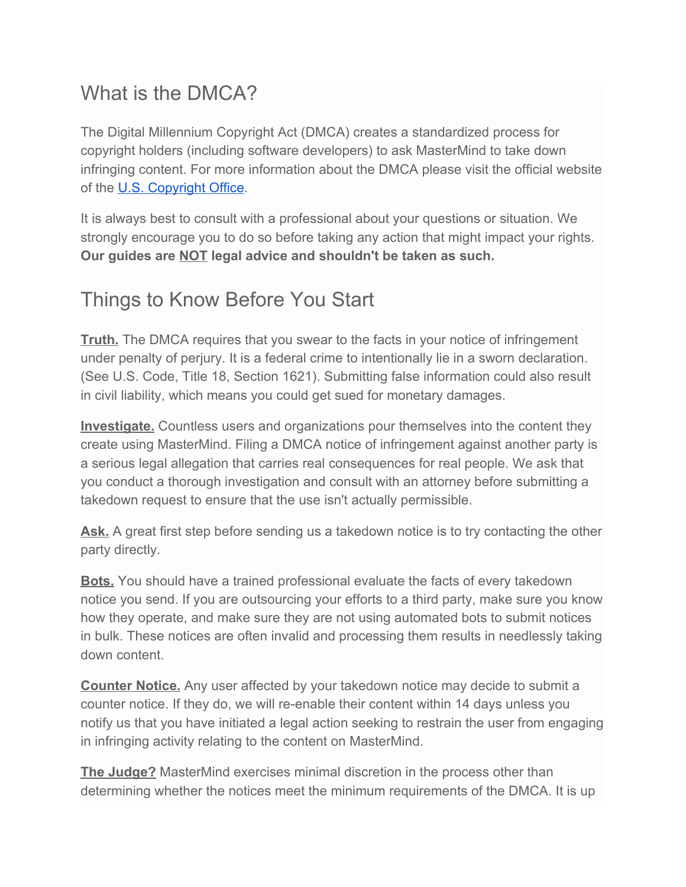# What is the DMCA?

The Digital Millennium Copyright Act (DMCA) creates a standardized process for copyright holders (including software developers) to ask MasterMind to take down infringing content. For more information about the DMCA please visit the official website of the [U.S. Copyright Office](https://www.copyright.gov/).

It is always best to consult with a professional about your questions or situation. We strongly encourage you to do so before taking any action that might impact your rights. **Our guides are NOT legal advice and shouldn't be taken as such.**

# Things to Know Before You Start

**Truth.** The DMCA requires that you swear to the facts in your notice of infringement under penalty of perjury. It is a federal crime to intentionally lie in a sworn declaration. (See U.S. Code, Title 18, Section 1621). Submitting false information could also result in civil liability, which means you could get sued for monetary damages.

**Investigate.** Countless users and organizations pour themselves into the content they create using MasterMind. Filing a DMCA notice of infringement against another party is a serious legal allegation that carries real consequences for real people. We ask that you conduct a thorough investigation and consult with an attorney before submitting a takedown request to ensure that the use isn't actually permissible.

Ask. A great first step before sending us a takedown notice is to try contacting the other party directly.

**Bots.** You should have a trained professional evaluate the facts of every takedown notice you send. If you are outsourcing your efforts to a third party, make sure you know how they operate, and make sure they are not using automated bots to submit notices in bulk. These notices are often invalid and processing them results in needlessly taking down content.

**Counter Notice.** Any user affected by your takedown notice may decide to submit a counter notice. If they do, we will re-enable their content within 14 days unless you notify us that you have initiated a legal action seeking to restrain the user from engaging in infringing activity relating to the content on MasterMind.

**The Judge?** MasterMind exercises minimal discretion in the process other than determining whether the notices meet the minimum requirements of the DMCA. It is up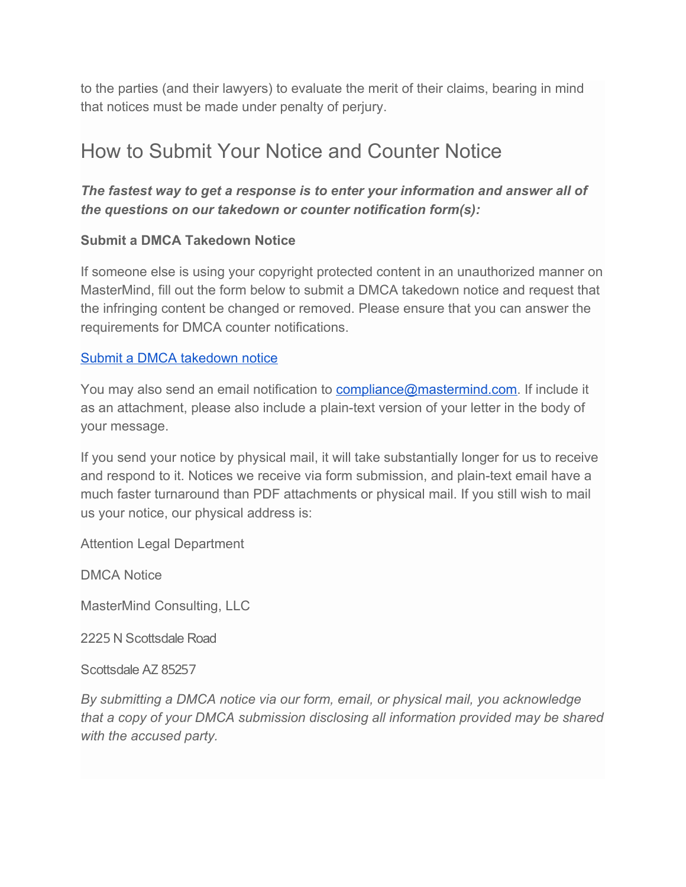to the parties (and their lawyers) to evaluate the merit of their claims, bearing in mind that notices must be made under penalty of perjury.

# How to Submit Your Notice and Counter Notice

## *The fastest way to get a response is to enter your information and answer all of the questions on our takedown or counter notification form(s):*

## **Submit a DMCA Takedown Notice**

If someone else is using your copyright protected content in an unauthorized manner on MasterMind, fill out the form below to submit a DMCA takedown notice and request that the infringing content be changed or removed. Please ensure that you can answer the requirements for DMCA counter notifications.

## [Submit a DMCA takedown notice](https://forms.gle/FNwrLLtvSrHKs3VK7)

You may also send an email notification to [compliance@mastermind.com.](mailto:compliance@mastermind.com) If include it as an attachment, please also include a plain-text version of your letter in the body of your message.

If you send your notice by physical mail, it will take substantially longer for us to receive and respond to it. Notices we receive via form submission, and plain-text email have a much faster turnaround than PDF attachments or physical mail. If you still wish to mail us your notice, our physical address is:

Attention Legal Department

DMCA Notice

MasterMind Consulting, LLC

2225 N Scottsdale Road

Scottsdale AZ 85257

*By submitting a DMCA notice via our form, email, or physical mail, you acknowledge that a copy of your DMCA submission disclosing all information provided may be shared with the accused party.*